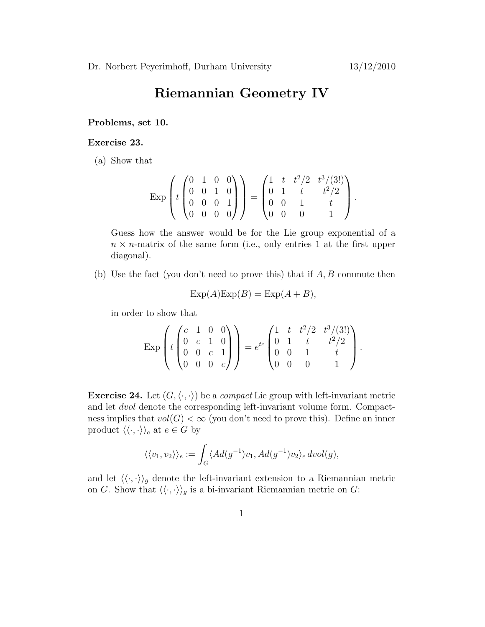## Riemannian Geometry IV

## Problems, set 10.

## Exercise 23.

(a) Show that

$$
\exp\left(t\begin{pmatrix}0&1&0&0\\0&0&1&0\\0&0&0&1\\0&0&0&0\end{pmatrix}\right) = \begin{pmatrix}1&t&t^2/2&t^3/(3!)\\0&1&t&t^2/2\\0&0&1&t\\0&0&0&1\end{pmatrix}.
$$

Guess how the answer would be for the Lie group exponential of a  $n \times n$ -matrix of the same form (i.e., only entries 1 at the first upper diagonal).

(b) Use the fact (you don't need to prove this) that if  $A, B$  commute then

$$
Exp(A)Exp(B) = Exp(A + B),
$$

in order to show that

$$
\exp\left(t\begin{pmatrix}c&1&0&0\\0&c&1&0\\0&0&c&1\\0&0&0&c\end{pmatrix}\right) = e^{tc}\begin{pmatrix}1&t&t^2/2&t^3/(3!)\\0&1&t&t^2/2\\0&0&1&t\\0&0&0&1\end{pmatrix}.
$$

**Exercise 24.** Let  $(G, \langle \cdot, \cdot \rangle)$  be a *compact* Lie group with left-invariant metric and let dvol denote the corresponding left-invariant volume form. Compactness implies that  $vol(G) < \infty$  (you don't need to prove this). Define an inner product  $\langle \langle \cdot, \cdot \rangle \rangle_e$  at  $e \in G$  by

$$
\langle \langle v_1, v_2 \rangle \rangle_e := \int_G \langle Ad(g^{-1})v_1, Ad(g^{-1})v_2 \rangle_e \, dvol(g),
$$

and let  $\langle \langle \cdot, \cdot \rangle \rangle_g$  denote the left-invariant extension to a Riemannian metric on G. Show that  $\langle \langle \cdot, \cdot \rangle \rangle_g$  is a bi-invariant Riemannian metric on G: